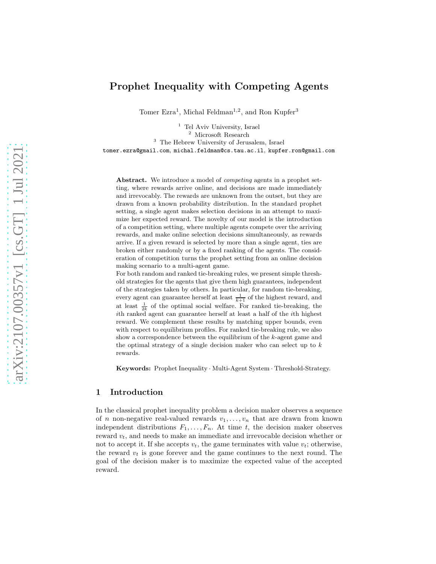# Prophet Inequality with Competing Agents

Tomer Ezra<sup>1</sup>, Michal Feldman<sup>1,2</sup>, and Ron Kupfer<sup>3</sup>

<sup>1</sup> Tel Aviv University, Israel <sup>2</sup> Microsoft Research <sup>3</sup> The Hebrew University of Jerusalem, Israel tomer.ezra@gmail.com, michal.feldman@cs.tau.ac.il, kupfer.ron@gmail.com

Abstract. We introduce a model of *competing* agents in a prophet setting, where rewards arrive online, and decisions are made immediately and irrevocably. The rewards are unknown from the outset, but they are drawn from a known probability distribution. In the standard prophet setting, a single agent makes selection decisions in an attempt to maximize her expected reward. The novelty of our model is the introduction of a competition setting, where multiple agents compete over the arriving rewards, and make online selection decisions simultaneously, as rewards arrive. If a given reward is selected by more than a single agent, ties are broken either randomly or by a fixed ranking of the agents. The consideration of competition turns the prophet setting from an online decision making scenario to a multi-agent game.

For both random and ranked tie-breaking rules, we present simple threshold strategies for the agents that give them high guarantees, independent of the strategies taken by others. In particular, for random tie-breaking, every agent can guarantee herself at least  $\frac{1}{k+1}$  of the highest reward, and at least  $\frac{1}{2k}$  of the optimal social welfare. For ranked tie-breaking, the ith ranked agent can guarantee herself at least a half of the ith highest reward. We complement these results by matching upper bounds, even with respect to equilibrium profiles. For ranked tie-breaking rule, we also show a correspondence between the equilibrium of the  $k$ -agent game and the optimal strategy of a single decision maker who can select up to  $k$ rewards.

Keywords: Prophet Inequality · Multi-Agent System · Threshold-Strategy.

### 1 Introduction

In the classical prophet inequality problem a decision maker observes a sequence of *n* non-negative real-valued rewards  $v_1, \ldots, v_n$  that are drawn from known independent distributions  $F_1, \ldots, F_n$ . At time t, the decision maker observes reward  $v_t$ , and needs to make an immediate and irrevocable decision whether or not to accept it. If she accepts  $v_t$ , the game terminates with value  $v_t$ ; otherwise, the reward  $v_t$  is gone forever and the game continues to the next round. The goal of the decision maker is to maximize the expected value of the accepted reward.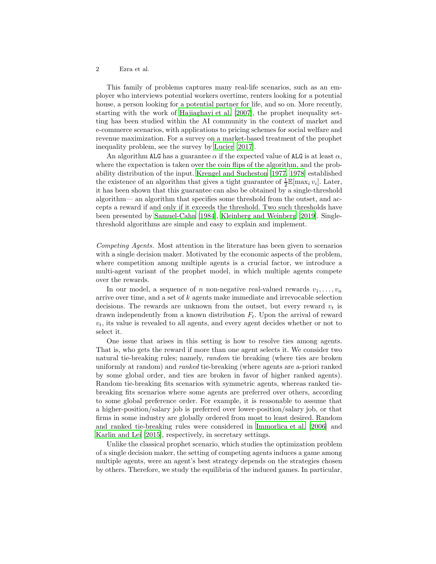This family of problems captures many real-life scenarios, such as an employer who interviews potential workers overtime, renters looking for a potential house, a person looking for a potential partner for life, and so on. More recently, starting with the work of [Hajiaghayi et al. \[2007\]](#page-12-0), the prophet inequality setting has been studied within the AI community in the context of market and e-commerce scenarios, with applications to pricing schemes for social welfare and revenue maximization. For a survey on a market-based treatment of the prophet inequality problem, see the survey by [Lucier \[2017](#page-12-1)].

An algorithm ALG has a guarantee  $\alpha$  if the expected value of ALG is at least  $\alpha$ , where the expectation is taken over the coin flips of the algorithm, and the probability distribution of the input. [Krengel and Sucheston \[1977,](#page-12-2) [1978](#page-12-3)] established the existence of an algorithm that gives a tight guarantee of  $\frac{1}{2} \mathbb{E}[\max_i v_i]$ . Later, it has been shown that this guarantee can also be obtained by a single-threshold algorithm— an algorithm that specifies some threshold from the outset, and accepts a reward if and only if it exceeds the threshold. Two such thresholds have been presented by [Samuel-Cahn \[1984](#page-12-4)], [Kleinberg and Weinberg \[2019](#page-12-5)]. Singlethreshold algorithms are simple and easy to explain and implement.

Competing Agents. Most attention in the literature has been given to scenarios with a single decision maker. Motivated by the economic aspects of the problem, where competition among multiple agents is a crucial factor, we introduce a multi-agent variant of the prophet model, in which multiple agents compete over the rewards.

In our model, a sequence of n non-negative real-valued rewards  $v_1, \ldots, v_n$ arrive over time, and a set of k agents make immediate and irrevocable selection decisions. The rewards are unknown from the outset, but every reward  $v_t$  is drawn independently from a known distribution  $F_t$ . Upon the arrival of reward  $v_t$ , its value is revealed to all agents, and every agent decides whether or not to select it.

One issue that arises in this setting is how to resolve ties among agents. That is, who gets the reward if more than one agent selects it. We consider two natural tie-breaking rules; namely, random tie breaking (where ties are broken uniformly at random) and ranked tie-breaking (where agents are a-priori ranked by some global order, and ties are broken in favor of higher ranked agents). Random tie-breaking fits scenarios with symmetric agents, whereas ranked tiebreaking fits scenarios where some agents are preferred over others, according to some global preference order. For example, it is reasonable to assume that a higher-position/salary job is preferred over lower-position/salary job, or that firms in some industry are globally ordered from most to least desired. Random and ranked tie-breaking rules were considered in [Immorlica et al. \[2006\]](#page-12-6) and [Karlin and Lei \[2015\]](#page-12-7), respectively, in secretary settings.

Unlike the classical prophet scenario, which studies the optimization problem of a single decision maker, the setting of competing agents induces a game among multiple agents, were an agent's best strategy depends on the strategies chosen by others. Therefore, we study the equilibria of the induced games. In particular,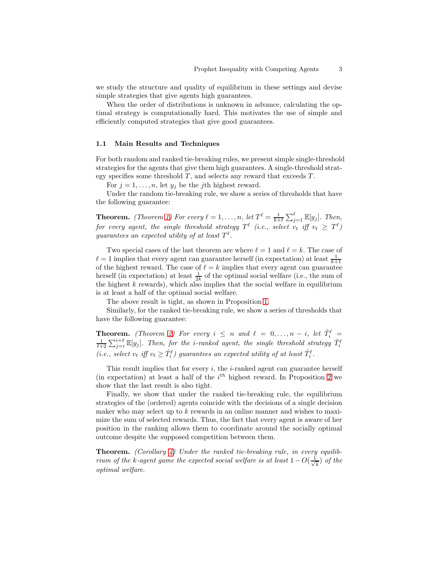we study the structure and quality of equilibrium in these settings and devise simple strategies that give agents high guarantees.

When the order of distributions is unknown in advance, calculating the optimal strategy is computationally hard. This motivates the use of simple and efficiently computed strategies that give good guarantees.

#### 1.1 Main Results and Techniques

For both random and ranked tie-breaking rules, we present simple single-threshold strategies for the agents that give them high guarantees. A single-threshold strategy specifies some threshold  $T$ , and selects any reward that exceeds  $T$ .

For  $j = 1, \ldots, n$ , let  $y_j$  be the j<sup>th</sup> highest reward.

Under the random tie-breaking rule, we show a series of thresholds that have the following guarantee:

**Theorem.** (Theorem [1\)](#page-5-0) For every  $\ell = 1, \ldots, n$ , let  $T^{\ell} = \frac{1}{k+\ell} \sum_{j=1}^{\ell} \mathbb{E}[y_j]$ . Then, for every agent, the single threshold strategy  $T^{\ell}$  (i.e., select  $v_t$  iff  $v_t$   $\geq$   $T^{\ell})$ guarantees an expected utility of at least  $T^{\ell}$ .

Two special cases of the last theorem are where  $\ell = 1$  and  $\ell = k$ . The case of  $\ell = 1$  implies that every agent can guarantee herself (in expectation) at least  $\frac{1}{k+1}$ of the highest reward. The case of  $\ell = k$  implies that every agent can guarantee herself (in expectation) at least  $\frac{1}{2k}$  of the optimal social welfare (i.e., the sum of the highest  $k$  rewards), which also implies that the social welfare in equilibrium is at least a half of the optimal social welfare.

The above result is tight, as shown in Proposition [1.](#page-6-0)

Similarly, for the ranked tie-breaking rule, we show a series of thresholds that have the following guarantee:

**Theorem.** (Theorem [2\)](#page-7-0) For every  $i \leq n$  and  $\ell = 0, ..., n - i$ , let  $\hat{T}_i^{\ell} = \frac{1}{\ell+2} \sum_{j=i}^{i+\ell} \mathbb{E}[y_j]$ . Then, for the *i*-ranked agent, the single threshold strategy  $\hat{T}_i^{\ell}$ (i.e., select  $v_t$  iff  $v_t \geq \hat{T}_i^{\ell}$ ) guarantees an expected utility of at least  $\hat{T}_i^{\ell}$ .

This result implies that for every  $i$ , the  $i$ -ranked agent can guarantee herself (in expectation) at least a half of the  $i<sup>th</sup>$  highest reward. In Proposition [2](#page-8-0) we show that the last result is also tight.

Finally, we show that under the ranked tie-breaking rule, the equilibrium strategies of the (ordered) agents coincide with the decisions of a single decision maker who may select up to  $k$  rewards in an online manner and wishes to maximize the sum of selected rewards. Thus, the fact that every agent is aware of her position in the ranking allows them to coordinate around the socially optimal outcome despite the supposed competition between them.

**Theorem.** (Corollary [4\)](#page-10-0) Under the ranked tie-breaking rule, in every equilibrium of the k-agent game the expected social welfare is at least  $1 - O(\frac{1}{\sqrt{\epsilon}})$  $(\frac{1}{k})$  of the optimal welfare.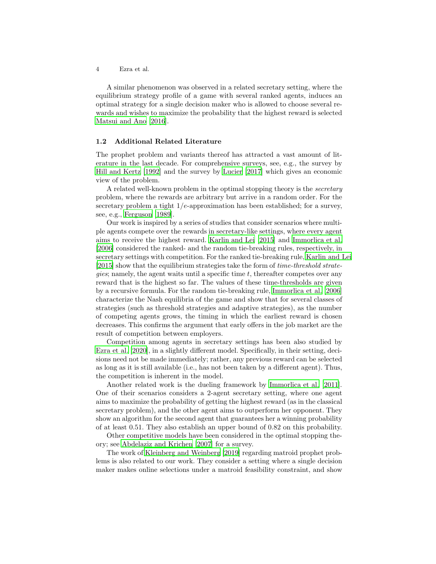A similar phenomenon was observed in a related secretary setting, where the equilibrium strategy profile of a game with several ranked agents, induces an optimal strategy for a single decision maker who is allowed to choose several rewards and wishes to maximize the probability that the highest reward is selected [Matsui and Ano \[2016\]](#page-12-8).

#### 1.2 Additional Related Literature

The prophet problem and variants thereof has attracted a vast amount of literature in the last decade. For comprehensive surveys, see, e.g., the survey by [Hill and Kertz \[1992\]](#page-12-9) and the survey by [Lucier \[2017\]](#page-12-1) which gives an economic view of the problem.

A related well-known problem in the optimal stopping theory is the secretary problem, where the rewards are arbitrary but arrive in a random order. For the secretary problem a tight  $1/e$ -approximation has been established; for a survey, see, e.g., [Ferguson \[1989\]](#page-12-10).

Our work is inspired by a series of studies that consider scenarios where multiple agents compete over the rewards in secretary-like settings, where every agent aims to receive the highest reward. [Karlin and Lei \[2015\]](#page-12-7) and [Immorlica et al.](#page-12-6) [\[2006\]](#page-12-6) considered the ranked- and the random tie-breaking rules, respectively, in secretary settings with competition. For the ranked tie-breaking rule, [Karlin and Lei](#page-12-7) [\[2015\]](#page-12-7) show that the equilibrium strategies take the form of time-threshold strate*gies*; namely, the agent waits until a specific time  $t$ , thereafter competes over any reward that is the highest so far. The values of these time-thresholds are given by a recursive formula. For the random tie-breaking rule, [Immorlica](#page-12-6) et al. [\[2006\]](#page-12-6) characterize the Nash equilibria of the game and show that for several classes of strategies (such as threshold strategies and adaptive strategies), as the number of competing agents grows, the timing in which the earliest reward is chosen decreases. This confirms the argument that early offers in the job market are the result of competition between employers.

Competition among agents in secretary settings has been also studied by [Ezra et al. \[2020\]](#page-12-11), in a slightly different model. Specifically, in their setting, decisions need not be made immediately; rather, any previous reward can be selected as long as it is still available (i.e., has not been taken by a different agent). Thus, the competition is inherent in the model.

Another related work is the dueling framework by [Immorlica et al. \[2011](#page-12-12)]. One of their scenarios considers a 2-agent secretary setting, where one agent aims to maximize the probability of getting the highest reward (as in the classical secretary problem), and the other agent aims to outperform her opponent. They show an algorithm for the second agent that guarantees her a winning probability of at least 0.51. They also establish an upper bound of 0.82 on this probability.

Other competitive models have been considered in the optimal stopping theory; see [Abdelaziz and Krichen \[2007\]](#page-12-13) for a survey.

The work of [Kleinberg and Weinberg \[2019\]](#page-12-5) regarding matroid prophet problems is also related to our work. They consider a setting where a single decision maker makes online selections under a matroid feasibility constraint, and show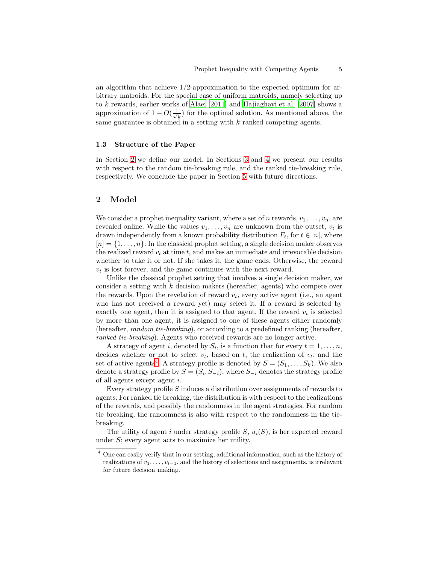an algorithm that achieve 1/2-approximation to the expected optimum for arbitrary matroids. For the special case of uniform matroids, namely selecting up to k rewards, earlier works of [Alaei \[2011\]](#page-12-14) and [Hajiaghayi et al. \[2007\]](#page-12-0) shows a approximation of  $1 - O(\frac{1}{\sqrt{2}})$  $\frac{k}{k}$ ) for the optimal solution. As mentioned above, the same guarantee is obtained in a setting with k ranked competing agents.

### 1.3 Structure of the Paper

In Section [2](#page-4-0) we define our model. In Sections [3](#page-5-1) and [4](#page-7-1) we present our results with respect to the random tie-breaking rule, and the ranked tie-breaking rule, respectively. We conclude the paper in Section [5](#page-10-1) with future directions.

## <span id="page-4-0"></span>2 Model

We consider a prophet inequality variant, where a set of n rewards,  $v_1, \ldots, v_n$ , are revealed online. While the values  $v_1, \ldots, v_n$  are unknown from the outset,  $v_t$  is drawn independently from a known probability distribution  $F_t$ , for  $t \in [n]$ , where  $[n] = \{1, \ldots, n\}$ . In the classical prophet setting, a single decision maker observes the realized reward  $v_t$  at time t, and makes an immediate and irrevocable decision whether to take it or not. If she takes it, the game ends. Otherwise, the reward  $v_t$  is lost forever, and the game continues with the next reward.

Unlike the classical prophet setting that involves a single decision maker, we consider a setting with k decision makers (hereafter, agents) who compete over the rewards. Upon the revelation of reward  $v_t$ , every active agent (i.e., an agent who has not received a reward yet) may select it. If a reward is selected by exactly one agent, then it is assigned to that agent. If the reward  $v_t$  is selected by more than one agent, it is assigned to one of these agents either randomly (hereafter, random tie-breaking), or according to a predefined ranking (hereafter, ranked tie-breaking). Agents who received rewards are no longer active.

A strategy of agent i, denoted by  $S_i$ , is a function that for every  $t = 1, \ldots, n$ , decides whether or not to select  $v_t$ , based on t, the realization of  $v_t$ , and the set of active agents<sup>[4](#page-4-1)</sup>. A strategy profile is denoted by  $S = (S_1, \ldots, S_k)$ . We also denote a strategy profile by  $S = (S_i, S_{-i})$ , where  $S_{-i}$  denotes the strategy profile of all agents except agent i.

Every strategy profile S induces a distribution over assignments of rewards to agents. For ranked tie breaking, the distribution is with respect to the realizations of the rewards, and possibly the randomness in the agent strategies. For random tie breaking, the randomness is also with respect to the randomness in the tiebreaking.

The utility of agent i under strategy profile  $S, u_i(S)$ , is her expected reward under S; every agent acts to maximize her utility.

<span id="page-4-1"></span><sup>4</sup> One can easily verify that in our setting, additional information, such as the history of realizations of  $v_1, \ldots, v_{t-1}$ , and the history of selections and assignments, is irrelevant for future decision making.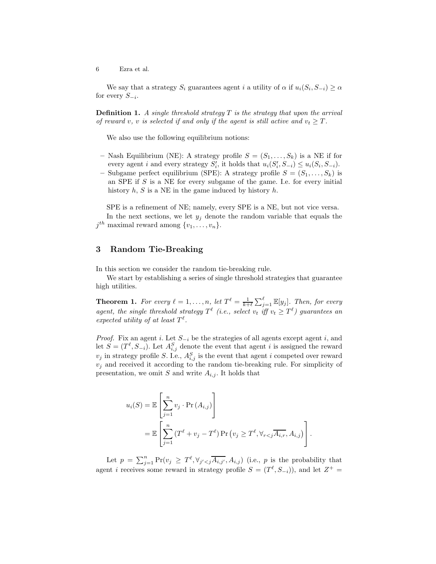We say that a strategy  $S_i$  guarantees agent i a utility of  $\alpha$  if  $u_i(S_i, S_{-i}) \ge \alpha$ for every  $S_{-i}$ .

**Definition 1.** A single threshold strategy  $T$  is the strategy that upon the arrival of reward v, v is selected if and only if the agent is still active and  $v_t \geq T$ .

We also use the following equilibrium notions:

- Nash Equilibrium (NE): A strategy profile  $S = (S_1, \ldots, S_k)$  is a NE if for every agent *i* and every strategy  $S'_{i}$ , it holds that  $u_i(S'_{i}, S_{-i}) \leq u_i(S_i, S_{-i})$ .
- Subgame perfect equilibrium (SPE): A strategy profile  $S = (S_1, \ldots, S_k)$  is an SPE if S is a NE for every subgame of the game. I.e. for every initial history  $h, S$  is a NE in the game induced by history  $h$ .

SPE is a refinement of NE; namely, every SPE is a NE, but not vice versa. In the next sections, we let  $y_i$  denote the random variable that equals the  $j^{th}$  maximal reward among  $\{v_1, \ldots, v_n\}.$ 

## <span id="page-5-1"></span>3 Random Tie-Breaking

In this section we consider the random tie-breaking rule.

<span id="page-5-0"></span>We start by establishing a series of single threshold strategies that guarantee high utilities.

**Theorem 1.** For every  $\ell = 1, \ldots, n$ , let  $T^{\ell} = \frac{1}{k+\ell} \sum_{j=1}^{\ell} \mathbb{E}[y_j]$ . Then, for every agent, the single threshold strategy  $T^{\ell}$  (i.e., select  $v_t$  iff  $v_t \geq T^{\ell}$ ) guarantees an expected utility of at least  $T^{\ell}$ .

*Proof.* Fix an agent i. Let  $S_{-i}$  be the strategies of all agents except agent i, and let  $S = (T^{\ell}, S_{-i})$ . Let  $A_{i,j}^{S}$  denote the event that agent i is assigned the reward  $v_j$  in strategy profile S. I.e.,  $A_{i,j}^S$  is the event that agent i competed over reward  $v_j$  and received it according to the random tie-breaking rule. For simplicity of presentation, we omit S and write  $A_{i,j}$ . It holds that

$$
u_i(S) = \mathbb{E}\left[\sum_{j=1}^n v_j \cdot \Pr(A_{i,j})\right]
$$
  
= 
$$
\mathbb{E}\left[\sum_{j=1}^n (T^{\ell} + v_j - T^{\ell}) \Pr(v_j \geq T^{\ell}, \forall_{r < j} \overline{A_{i,r}}, A_{i,j})\right].
$$

Let  $p = \sum_{j=1}^n \Pr(v_j \geq T^{\ell}, \forall_{j' < j} \overline{A_{i,j'}}, A_{i,j})$  (i.e., p is the probability that agent *i* receives some reward in strategy profile  $S = (T^{\ell}, S_{-i})$ , and let  $Z^{+} =$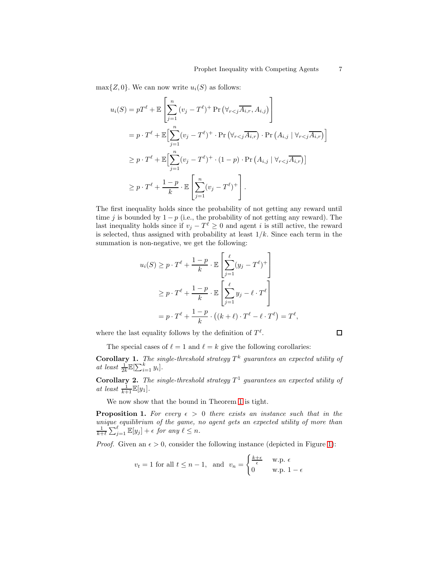$\max\{Z, 0\}$ . We can now write  $u_i(S)$  as follows:

$$
u_i(S) = pT^{\ell} + \mathbb{E}\left[\sum_{j=1}^n (v_j - T^{\ell})^+ \Pr\left(\forall_{r < j} \overline{A_{i,r}}, A_{i,j}\right)\right]
$$
\n
$$
= p \cdot T^{\ell} + \mathbb{E}\left[\sum_{j=1}^n (v_j - T^{\ell})^+ \cdot \Pr\left(\forall_{r < j} \overline{A_{i,r}}\right) \cdot \Pr\left(A_{i,j} \mid \forall_{r < j} \overline{A_{i,r}}\right)\right]
$$
\n
$$
\geq p \cdot T^{\ell} + \mathbb{E}\left[\sum_{j=1}^n (v_j - T^{\ell})^+ \cdot (1 - p) \cdot \Pr\left(A_{i,j} \mid \forall_{r < j} \overline{A_{i,r}}\right)\right]
$$
\n
$$
\geq p \cdot T^{\ell} + \frac{1 - p}{k} \cdot \mathbb{E}\left[\sum_{j=1}^n (v_j - T^{\ell})^+\right].
$$

The first inequality holds since the probability of not getting any reward until time j is bounded by  $1 - p$  (i.e., the probability of not getting any reward). The last inequality holds since if  $v_j - T^{\ell} \geq 0$  and agent i is still active, the reward is selected, thus assigned with probability at least  $1/k$ . Since each term in the summation is non-negative, we get the following:

$$
u_i(S) \ge p \cdot T^{\ell} + \frac{1-p}{k} \cdot \mathbb{E} \left[ \sum_{j=1}^{\ell} (y_j - T^{\ell})^+ \right]
$$
  
 
$$
\ge p \cdot T^{\ell} + \frac{1-p}{k} \cdot \mathbb{E} \left[ \sum_{j=1}^{\ell} y_j - \ell \cdot T^{\ell} \right]
$$
  
=  $p \cdot T^{\ell} + \frac{1-p}{k} \cdot \left( (k+\ell) \cdot T^{\ell} - \ell \cdot T^{\ell} \right) = T^{\ell},$ 

where the last equality follows by the definition of  $T^{\ell}$ .

<span id="page-6-0"></span>
$$
\qquad \qquad \Box
$$

The special cases of  $\ell = 1$  and  $\ell = k$  give the following corollaries:

**Corollary 1.** The single-threshold strategy  $T^k$  guarantees an expected utility of at least  $\frac{1}{2k} \mathbb{E}[\sum_{i=1}^k y_i].$ 

**Corollary 2.** The single-threshold strategy  $T^1$  guarantees an expected utility of at least  $\frac{1}{k+1}\mathbb{E}[y_1].$ 

We now show that the bound in Theorem [1](#page-5-0) is tight.

**Proposition 1.** For every  $\epsilon > 0$  there exists an instance such that in the unique equilibrium of the game, no agent gets an expected utility of more than  $\frac{1}{k+\ell} \sum_{j=1}^{\ell} \mathbb{E}[y_j] + \epsilon$  for any  $\ell \leq n$ .

*Proof.* Given an  $\epsilon > 0$ , consider the following instance (depicted in Figure [1\)](#page-7-2):

$$
v_t = 1
$$
 for all  $t \le n - 1$ , and  $v_n = \begin{cases} \frac{k+\epsilon}{\epsilon} & \text{w.p. } \epsilon \\ 0 & \text{w.p. } 1 - \epsilon \end{cases}$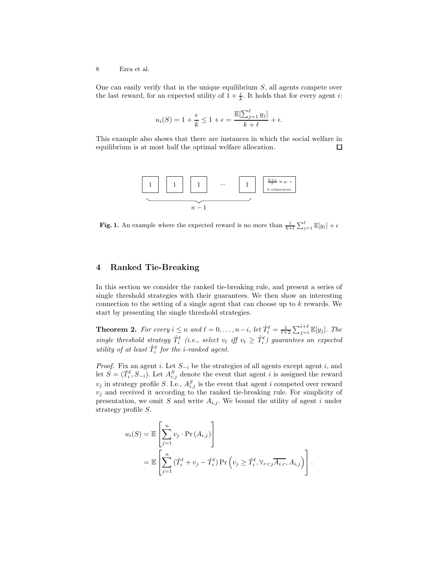One can easily verify that in the unique equilibrium  $S$ , all agents compete over the last reward, for an expected utility of  $1 + \frac{\epsilon}{k}$ . It holds that for every agent *i*:

$$
u_i(S) = 1 + \frac{\epsilon}{k} \le 1 + \epsilon = \frac{\mathbb{E}[\sum_{j=1}^{\ell} y_j]}{k + \ell} + \epsilon.
$$

This example also shows that there are instances in which the social welfare in equilibrium is at most half the optimal welfare allocation.  $\Box$ 



<span id="page-7-2"></span>**Fig. 1.** An example where the expected reward is no more than  $\frac{1}{k+\ell} \sum_{j=1}^{\ell} \mathbb{E}[y_j] + \epsilon$ 

### <span id="page-7-1"></span>4 Ranked Tie-Breaking

In this section we consider the ranked tie-breaking rule, and present a series of single threshold strategies with their guarantees. We then show an interesting connection to the setting of a single agent that can choose up to  $k$  rewards. We start by presenting the single threshold strategies.

<span id="page-7-0"></span>**Theorem 2.** For every  $i \leq n$  and  $\ell = 0, \ldots, n-i$ , let  $\hat{T}_i^{\ell} = \frac{1}{\ell+2} \sum_{j=i}^{i+\ell} \mathbb{E}[y_j]$ . The single threshold strategy  $\hat{T}_i^{\ell}$  (i.e., select  $v_t$  iff  $v_t \geq \hat{T}_i^{\ell}$ ) guarantees an expected utility of at least  $\hat{T}_i^{\ell}$  for the *i*-ranked agent.

*Proof.* Fix an agent i. Let  $S_{-i}$  be the strategies of all agents except agent i, and let  $S = (\hat{T}_i^{\ell}, S_{-i})$ . Let  $A_{i,j}^{S}$  denote the event that agent i is assigned the reward  $v_j$  in strategy profile S. I.e.,  $A_{i,j}^S$  is the event that agent i competed over reward  $v_j$  and received it according to the ranked tie-breaking rule. For simplicity of presentation, we omit S and write  $A_{i,j}$ . We bound the utility of agent i under strategy profile S.

$$
u_i(S) = \mathbb{E}\left[\sum_{j=1}^n v_j \cdot \Pr(A_{i,j})\right]
$$
  
= 
$$
\mathbb{E}\left[\sum_{j=1}^n (\hat{T}_i^{\ell} + v_j - \hat{T}_i^{\ell}) \Pr\left(v_j \geq \hat{T}_i^{\ell}, \forall_{r < j} \overline{A_{i,r}}, A_{i,j}\right)\right].
$$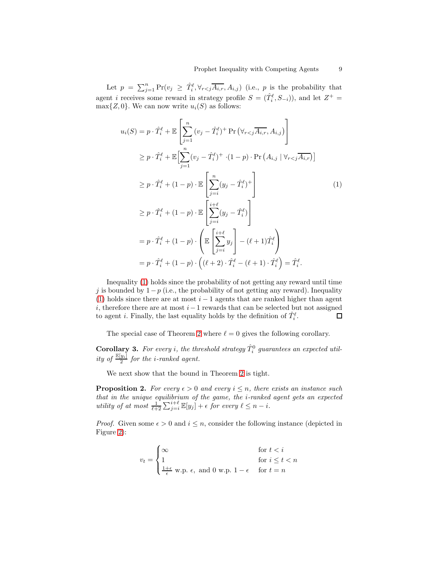Let  $p = \sum_{j=1}^n \Pr(v_j \geq \hat{T}_i^{\ell}, \forall_{r < j} \overline{A_{i,r}}, A_{i,j})$  (i.e., p is the probability that agent *i* receives some reward in strategy profile  $S = (\hat{T}_i^{\ell}, S_{-i})$ , and let  $Z^+ =$  $\max\{Z, 0\}$ . We can now write  $u_i(S)$  as follows:

<span id="page-8-1"></span>
$$
u_i(S) = p \cdot \hat{T}_i^{\ell} + \mathbb{E} \left[ \sum_{j=1}^n (v_j - \hat{T}_i^{\ell})^+ \Pr \left( \forall_{r < j} \overline{A_{i,r}}, A_{i,j} \right) \right]
$$
\n
$$
\geq p \cdot \hat{T}_i^{\ell} + \mathbb{E} \Big[ \sum_{j=1}^n (v_j - \hat{T}_i^{\ell})^+ \cdot (1 - p) \cdot \Pr \left( A_{i,j} \mid \forall_{r < j} \overline{A_{i,r}} \right) \Big]
$$
\n
$$
\geq p \cdot \hat{T}_i^{\ell} + (1 - p) \cdot \mathbb{E} \left[ \sum_{j=i}^n (y_j - \hat{T}_i^{\ell})^+ \right]
$$
\n
$$
\geq p \cdot \hat{T}_i^{\ell} + (1 - p) \cdot \mathbb{E} \left[ \sum_{j=i}^{i+\ell} (y_j - \hat{T}_i^{\ell}) \right]
$$
\n
$$
= p \cdot \hat{T}_i^{\ell} + (1 - p) \cdot \left( \mathbb{E} \left[ \sum_{j=i}^{i+\ell} y_j \right] - (\ell + 1) \hat{T}_i^{\ell} \right)
$$
\n
$$
= p \cdot \hat{T}_i^{\ell} + (1 - p) \cdot \left( (\ell + 2) \cdot \hat{T}_i^{\ell} - (\ell + 1) \cdot \hat{T}_i^{\ell} \right) = \hat{T}_i^{\ell}.
$$
\n(1)

Inequality [\(1\)](#page-8-1) holds since the probability of not getting any reward until time j is bounded by 1−p (i.e., the probability of not getting any reward). Inequality [\(1\)](#page-8-1) holds since there are at most  $i - 1$  agents that are ranked higher than agent i, therefore there are at most  $i-1$  rewards that can be selected but not assigned to agent *i*. Finally, the last equality holds by the definition of  $\hat{T}_i^{\ell}$ .  $\Box$ 

The special case of Theorem [2](#page-7-0) where  $\ell = 0$  gives the following corollary.

**Corollary 3.** For every *i*, the threshold strategy  $\hat{T}_i^0$  guarantees an expected utility of  $\frac{\mathbb{E}[y_i]}{2}$  for the *i*-ranked agent.

We next show that the bound in Theorem [2](#page-7-0) is tight.

**Proposition 2.** For every  $\epsilon > 0$  and every  $i \leq n$ , there exists an instance such that in the unique equilibrium of the game, the i-ranked agent gets an expected utility of at most  $\frac{1}{\ell+2} \sum_{j=i}^{i+\ell} \mathbb{E}[y_j] + \epsilon$  for every  $\ell \leq n-i$ .

*Proof.* Given some  $\epsilon > 0$  and  $i \leq n$ , consider the following instance (depicted in Figure [2\)](#page-9-0):

<span id="page-8-0"></span>
$$
v_t = \begin{cases} \infty & \text{for } t < i \\ 1 & \text{for } i \le t < n \\ \frac{1+\epsilon}{\epsilon} \le p. \epsilon, \text{ and } 0 \le p. \ 1-\epsilon & \text{for } t = n \end{cases}
$$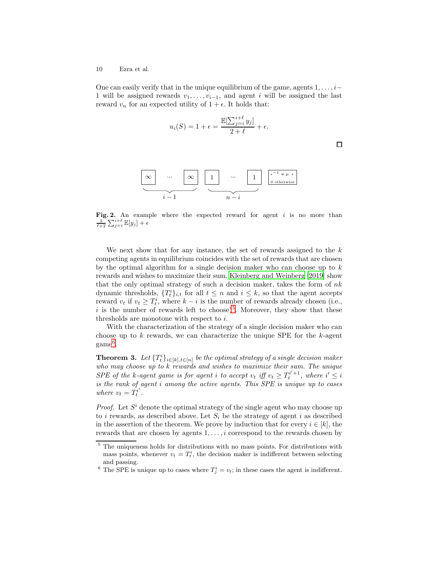One can easily verify that in the unique equilibrium of the game, agents  $1, \ldots, i-$ 1 will be assigned rewards  $v_1, \ldots, v_{i-1}$ , and agent i will be assigned the last reward  $v_n$  for an expected utility of  $1 + \epsilon$ . It holds that:

$$
u_i(S) = 1 + \epsilon = \frac{\mathbb{E}[\sum_{j=i}^{i+\ell} y_j]}{2+\ell} + \epsilon.
$$

 $\Box$ 



<span id="page-9-0"></span>Fig. 2. An example where the expected reward for agent  $i$  is no more than  $\frac{1}{\ell+2}\sum_{j=i}^{i+\ell}\mathbb{E}[y_j] + \epsilon$ 

We next show that for any instance, the set of rewards assigned to the  $k$ competing agents in equilibrium coincides with the set of rewards that are chosen by the optimal algorithm for a single decision maker who can choose up to  $k$ rewards and wishes to maximize their sum. [Kleinberg and Weinberg \[2019\]](#page-12-5) show that the only optimal strategy of such a decision maker, takes the form of  $nk$ dynamic thresholds,  $\{T_t^i\}_{i,t}$  for all  $t \leq n$  and  $i \leq k$ , so that the agent accepts reward  $v_t$  if  $v_t \geq T_t^i$ , where  $k - i$  is the number of rewards already chosen (i.e., i is the number of rewards left to choose)<sup>[5](#page-9-1)</sup>. Moreover, they show that these thresholds are monotone with respect to i.

With the characterization of the strategy of a single decision maker who can choose up to k rewards, we can characterize the unique SPE for the  $k$ -agent  $\mathrm{game}^6.$  $\mathrm{game}^6.$  $\mathrm{game}^6.$ 

<span id="page-9-3"></span>**Theorem 3.** Let  $\{T_t^i\}_{i\in[k],t\in[n]}$  be the optimal strategy of a single decision maker who may choose up to k rewards and wishes to maximize their sum. The unique SPE of the k-agent game is for agent i to accept  $v_t$  iff  $v_t \geq T_t^{i'+1}$ , where  $i' \leq i$ is the rank of agent i among the active agents. This SPE is unique up to cases where  $v_t = T_t^{i'}$  $\stackrel{i'}{t}$  .

*Proof.* Let  $S<sup>i</sup>$  denote the optimal strategy of the single agent who may choose up to i rewards, as described above. Let  $S_i$  be the strategy of agent i as described in the assertion of the theorem. We prove by induction that for every  $i \in [k]$ , the rewards that are chosen by agents  $1, \ldots, i$  correspond to the rewards chosen by

<span id="page-9-1"></span> $5$  The uniqueness holds for distributions with no mass points. For distributions with mass points, whenever  $v_t = T_t^i$ , the decision maker is indifferent between selecting and passing.

<span id="page-9-2"></span><sup>&</sup>lt;sup>6</sup> The SPE is unique up to cases where  $T_j^i = v_i$ ; in these cases the agent is indifferent.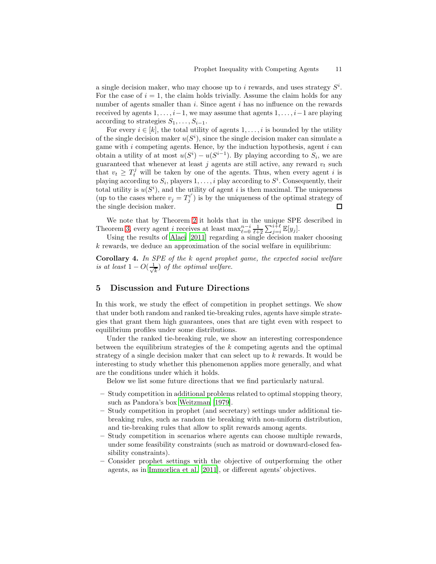a single decision maker, who may choose up to i rewards, and uses strategy  $S^i$ . For the case of  $i = 1$ , the claim holds trivially. Assume the claim holds for any number of agents smaller than  $i$ . Since agent  $i$  has no influence on the rewards received by agents  $1, \ldots, i-1$ , we may assume that agents  $1, \ldots, i-1$  are playing according to strategies  $S_1, \ldots, S_{i-1}$ .

For every  $i \in [k]$ , the total utility of agents  $1, \ldots, i$  is bounded by the utility of the single decision maker  $u(S^i)$ , since the single decision maker can simulate a game with  $i$  competing agents. Hence, by the induction hypothesis, agent  $i$  can obtain a utility of at most  $u(S^i) - u(S^{i-1})$ . By playing according to  $S_i$ , we are guaranteed that whenever at least  $j$  agents are still active, any reward  $v_t$  such that  $v_t \geq T_t^j$  will be taken by one of the agents. Thus, when every agent i is playing according to  $S_i$ , players  $1, \ldots, i$  play according to  $S^i$ . Consequently, their total utility is  $u(S<sup>i</sup>)$ , and the utility of agent i is then maximal. The uniqueness (up to the cases where  $v_j = T_i^{i'}$  $j^{i'}$ ) is by the uniqueness of the optimal strategy of the single decision maker.  $\Box$ 

We note that by Theorem [2](#page-7-0) it holds that in the unique SPE described in Theorem [3,](#page-9-3) every agent *i* receives at least  $\max_{\ell=0}^{n-i} \frac{1}{\ell+2} \sum_{j=i}^{i+\ell} \mathbb{E}[y_j]$ .

<span id="page-10-0"></span>Using the results of [Alaei \[2011\]](#page-12-14) regarding a single decision maker choosing  $k$  rewards, we deduce an approximation of the social welfare in equilibrium:

Corollary 4. In SPE of the k agent prophet game, the expected social welfare is at least  $1 - O(\frac{1}{\sqrt{2}})$  $\frac{1}{k}$ ) of the optimal welfare.

## <span id="page-10-1"></span>5 Discussion and Future Directions

In this work, we study the effect of competition in prophet settings. We show that under both random and ranked tie-breaking rules, agents have simple strategies that grant them high guarantees, ones that are tight even with respect to equilibrium profiles under some distributions.

Under the ranked tie-breaking rule, we show an interesting correspondence between the equilibrium strategies of the  $k$  competing agents and the optimal strategy of a single decision maker that can select up to  $k$  rewards. It would be interesting to study whether this phenomenon applies more generally, and what are the conditions under which it holds.

Below we list some future directions that we find particularly natural.

- Study competition in additional problems related to optimal stopping theory, such as Pandora's box [Weitzman \[1979\]](#page-12-15).
- Study competition in prophet (and secretary) settings under additional tiebreaking rules, such as random tie breaking with non-uniform distribution, and tie-breaking rules that allow to split rewards among agents.
- Study competition in scenarios where agents can choose multiple rewards, under some feasibility constraints (such as matroid or downward-closed feasibility constraints).
- Consider prophet settings with the objective of outperforming the other agents, as in [Immorlica et al. \[2011\]](#page-12-12), or different agents' objectives.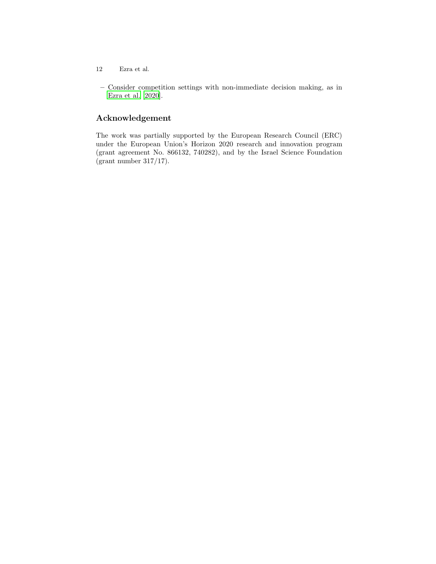- 12 Ezra et al.
- Consider competition settings with non-immediate decision making, as in [Ezra et al. \[2020](#page-12-11)].

# Acknowledgement

The work was partially supported by the European Research Council (ERC) under the European Union's Horizon 2020 research and innovation program (grant agreement No. 866132, 740282), and by the Israel Science Foundation (grant number 317/17).